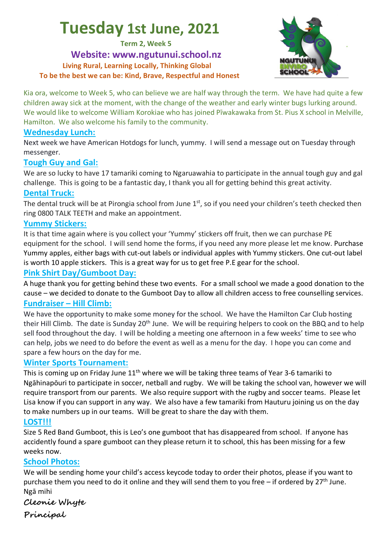# **Tuesday 1st June, 2021**

**Term 2, Week 5**

**Website: www.ngutunui.school.nz Living Rural, Learning Locally, Thinking Global To be the best we can be: Kind, Brave, Respectful and Honest**



Kia ora, welcome to Week 5, who can believe we are half way through the term. We have had quite a few children away sick at the moment, with the change of the weather and early winter bugs lurking around. We would like to welcome William Korokiae who has joined Pīwakawaka from St. Pius X school in Melville, Hamilton. We also welcome his family to the community.

#### **Wednesday Lunch:**

Next week we have American Hotdogs for lunch, yummy. I will send a message out on Tuesday through messenger.

#### **Tough Guy and Gal:**

We are so lucky to have 17 tamariki coming to Ngaruawahia to participate in the annual tough guy and gal challenge. This is going to be a fantastic day, I thank you all for getting behind this great activity.

#### **Dental Truck:**

The dental truck will be at Pirongia school from June 1<sup>st</sup>, so if you need your children's teeth checked then ring 0800 TALK TEETH and make an appointment.

#### **Yummy Stickers:**

It is that time again where is you collect your 'Yummy' stickers off fruit, then we can purchase PE equipment for the school. I will send home the forms, if you need any more please let me know. Purchase Yummy apples, either bags with cut-out labels or individual apples with Yummy stickers. One cut-out label is worth 10 apple stickers. This is a great way for us to get free P.E gear for the school.

#### **Pink Shirt Day/Gumboot Day:**

A huge thank you for getting behind these two events. For a small school we made a good donation to the cause – we decided to donate to the Gumboot Day to allow all children access to free counselling services. **Fundraiser – Hill Climb:**

We have the opportunity to make some money for the school. We have the Hamilton Car Club hosting their Hill Climb. The date is Sunday 20<sup>th</sup> June. We will be requiring helpers to cook on the BBQ and to help sell food throughout the day. I will be holding a meeting one afternoon in a few weeks' time to see who can help, jobs we need to do before the event as well as a menu for the day. I hope you can come and spare a few hours on the day for me.

#### **Winter Sports Tournament:**

This is coming up on Friday June  $11<sup>th</sup>$  where we will be taking three teams of Year 3-6 tamariki to Ngāhinapōuri to participate in soccer, netball and rugby. We will be taking the school van, however we will require transport from our parents. We also require support with the rugby and soccer teams. Please let Lisa know if you can support in any way. We also have a few tamariki from Hauturu joining us on the day to make numbers up in our teams. Will be great to share the day with them.

#### **LOST!!!**

Size 5 Red Band Gumboot, this is Leo's one gumboot that has disappeared from school. If anyone has accidently found a spare gumboot can they please return it to school, this has been missing for a few weeks now.

#### **School Photos:**

We will be sending home your child's access keycode today to order their photos, please if you want to purchase them you need to do it online and they will send them to you free – if ordered by  $27<sup>th</sup>$  June. Ngā mihi

#### **Cleonie Whyte**

**Principal**